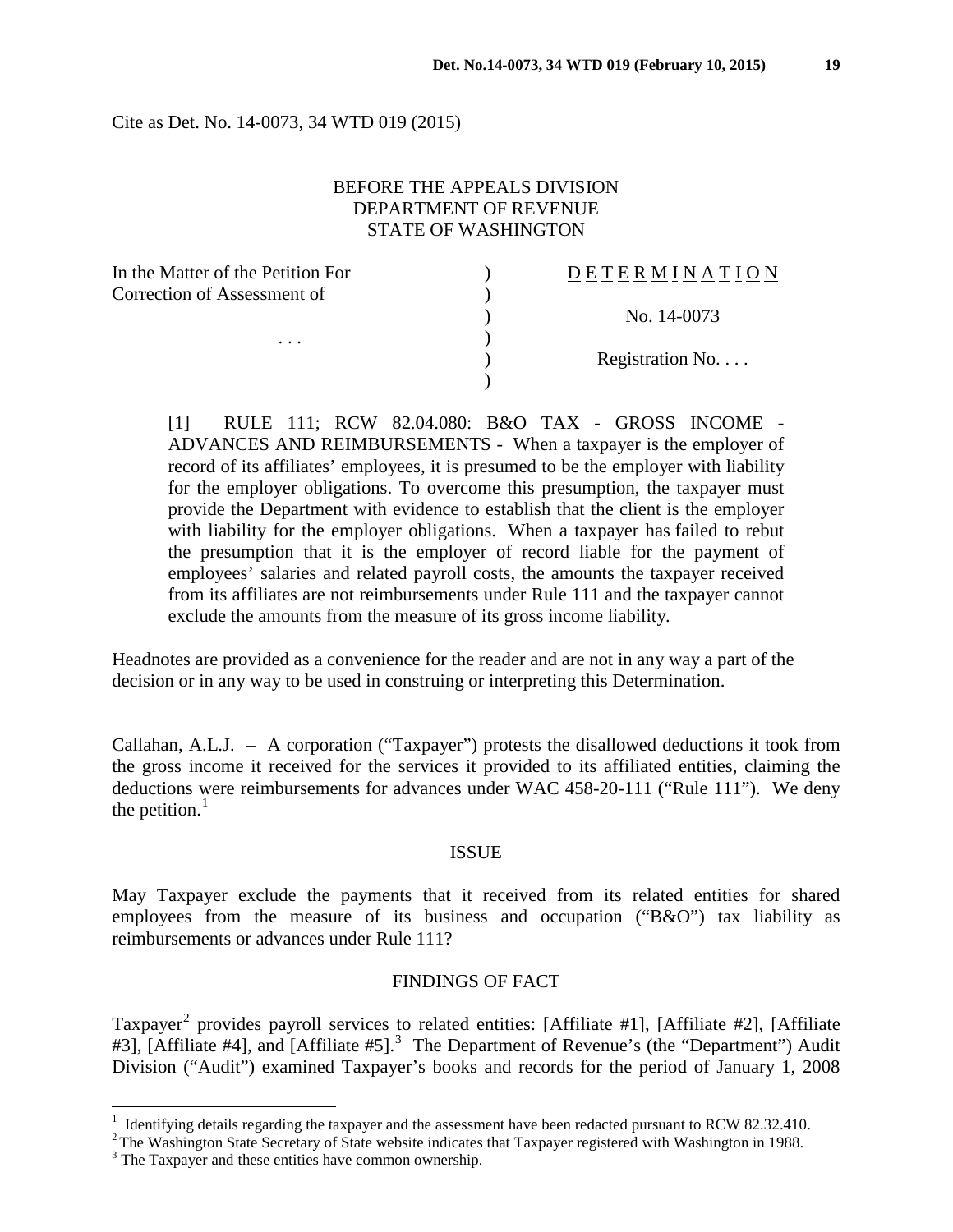Cite as Det. No. 14-0073, 34 WTD 019 (2015)

### BEFORE THE APPEALS DIVISION DEPARTMENT OF REVENUE STATE OF WASHINGTON

| In the Matter of the Petition For       | DETERMINATION   |
|-----------------------------------------|-----------------|
| Correction of Assessment of<br>$\cdots$ |                 |
|                                         | No. 14-0073     |
|                                         |                 |
|                                         | Registration No |
|                                         |                 |

[1] RULE 111; RCW 82.04.080: B&O TAX - GROSS INCOME - ADVANCES AND REIMBURSEMENTS - When a taxpayer is the employer of record of its affiliates' employees, it is presumed to be the employer with liability for the employer obligations. To overcome this presumption, the taxpayer must provide the Department with evidence to establish that the client is the employer with liability for the employer obligations. When a taxpayer has failed to rebut the presumption that it is the employer of record liable for the payment of employees' salaries and related payroll costs, the amounts the taxpayer received from its affiliates are not reimbursements under Rule 111 and the taxpayer cannot exclude the amounts from the measure of its gross income liability.

Headnotes are provided as a convenience for the reader and are not in any way a part of the decision or in any way to be used in construing or interpreting this Determination.

Callahan, A.L.J. – A corporation ("Taxpayer") protests the disallowed deductions it took from the gross income it received for the services it provided to its affiliated entities, claiming the deductions were reimbursements for advances under WAC 458-20-111 ("Rule 111"). We deny the petition. $<sup>1</sup>$  $<sup>1</sup>$  $<sup>1</sup>$ </sup>

#### ISSUE

May Taxpayer exclude the payments that it received from its related entities for shared employees from the measure of its business and occupation ("B&O") tax liability as reimbursements or advances under Rule 111?

### FINDINGS OF FACT

Taxpayer<sup>[2](#page-0-1)</sup> provides payroll services to related entities: [Affiliate #1], [Affiliate #2], [Affiliate #[3](#page-0-2)], [Affiliate #4], and [Affiliate #5].<sup>3</sup> The Department of Revenue's (the "Department") Audit Division ("Audit") examined Taxpayer's books and records for the period of January 1, 2008

<span id="page-0-0"></span><sup>&</sup>lt;sup>1</sup> Identifying details regarding the taxpayer and the assessment have been redacted pursuant to RCW 82.32.410.

<span id="page-0-1"></span> $^{2}$ The Washington State Secretary of State website indicates that Taxpayer registered with Washington in 1988.<br><sup>3</sup> The Taxpayer and these entities have common ownership.

<span id="page-0-2"></span>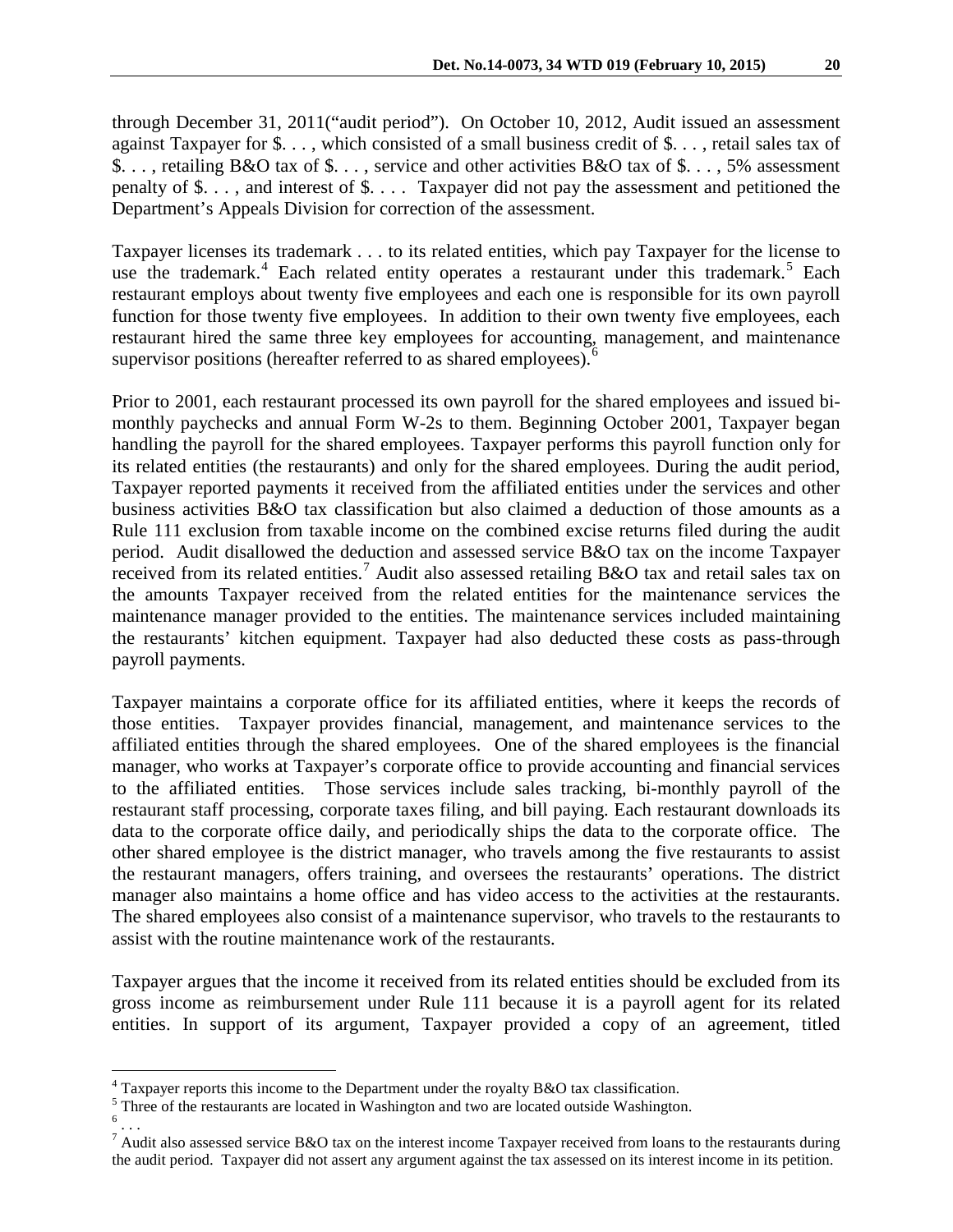through December 31, 2011("audit period"). On October 10, 2012, Audit issued an assessment against Taxpayer for \$. . . , which consisted of a small business credit of \$. . . , retail sales tax of \$. . . , retailing B&O tax of \$. . . , service and other activities B&O tax of \$. . . , 5% assessment penalty of \$. . . , and interest of \$. . . . Taxpayer did not pay the assessment and petitioned the Department's Appeals Division for correction of the assessment.

Taxpayer licenses its trademark . . . to its related entities, which pay Taxpayer for the license to use the trademark.<sup>[4](#page-1-0)</sup> Each related entity operates a restaurant under this trademark.<sup>[5](#page-1-1)</sup> Each restaurant employs about twenty five employees and each one is responsible for its own payroll function for those twenty five employees. In addition to their own twenty five employees, each restaurant hired the same three key employees for accounting, management, and maintenance supervisor positions (hereafter referred to as shared employees).<sup>[6](#page-1-2)</sup>

Prior to 2001, each restaurant processed its own payroll for the shared employees and issued bimonthly paychecks and annual Form W-2s to them. Beginning October 2001, Taxpayer began handling the payroll for the shared employees. Taxpayer performs this payroll function only for its related entities (the restaurants) and only for the shared employees. During the audit period, Taxpayer reported payments it received from the affiliated entities under the services and other business activities B&O tax classification but also claimed a deduction of those amounts as a Rule 111 exclusion from taxable income on the combined excise returns filed during the audit period. Audit disallowed the deduction and assessed service B&O tax on the income Taxpayer received from its related entities.<sup>[7](#page-1-3)</sup> Audit also assessed retailing B&O tax and retail sales tax on the amounts Taxpayer received from the related entities for the maintenance services the maintenance manager provided to the entities. The maintenance services included maintaining the restaurants' kitchen equipment. Taxpayer had also deducted these costs as pass-through payroll payments.

Taxpayer maintains a corporate office for its affiliated entities, where it keeps the records of those entities. Taxpayer provides financial, management, and maintenance services to the affiliated entities through the shared employees. One of the shared employees is the financial manager, who works at Taxpayer's corporate office to provide accounting and financial services to the affiliated entities. Those services include sales tracking, bi-monthly payroll of the restaurant staff processing, corporate taxes filing, and bill paying. Each restaurant downloads its data to the corporate office daily, and periodically ships the data to the corporate office. The other shared employee is the district manager, who travels among the five restaurants to assist the restaurant managers, offers training, and oversees the restaurants' operations. The district manager also maintains a home office and has video access to the activities at the restaurants. The shared employees also consist of a maintenance supervisor, who travels to the restaurants to assist with the routine maintenance work of the restaurants.

Taxpayer argues that the income it received from its related entities should be excluded from its gross income as reimbursement under Rule 111 because it is a payroll agent for its related entities. In support of its argument, Taxpayer provided a copy of an agreement, titled

 $\overline{a}$ 

 $4$  Taxpayer reports this income to the Department under the royalty B&O tax classification.

<span id="page-1-1"></span><span id="page-1-0"></span> $\frac{5}{6}$  Three of the restaurants are located in Washington and two are located outside Washington.

<span id="page-1-2"></span>

<span id="page-1-3"></span><sup>7</sup> Audit also assessed service B&O tax on the interest income Taxpayer received from loans to the restaurants during the audit period. Taxpayer did not assert any argument against the tax assessed on its interest income in its petition.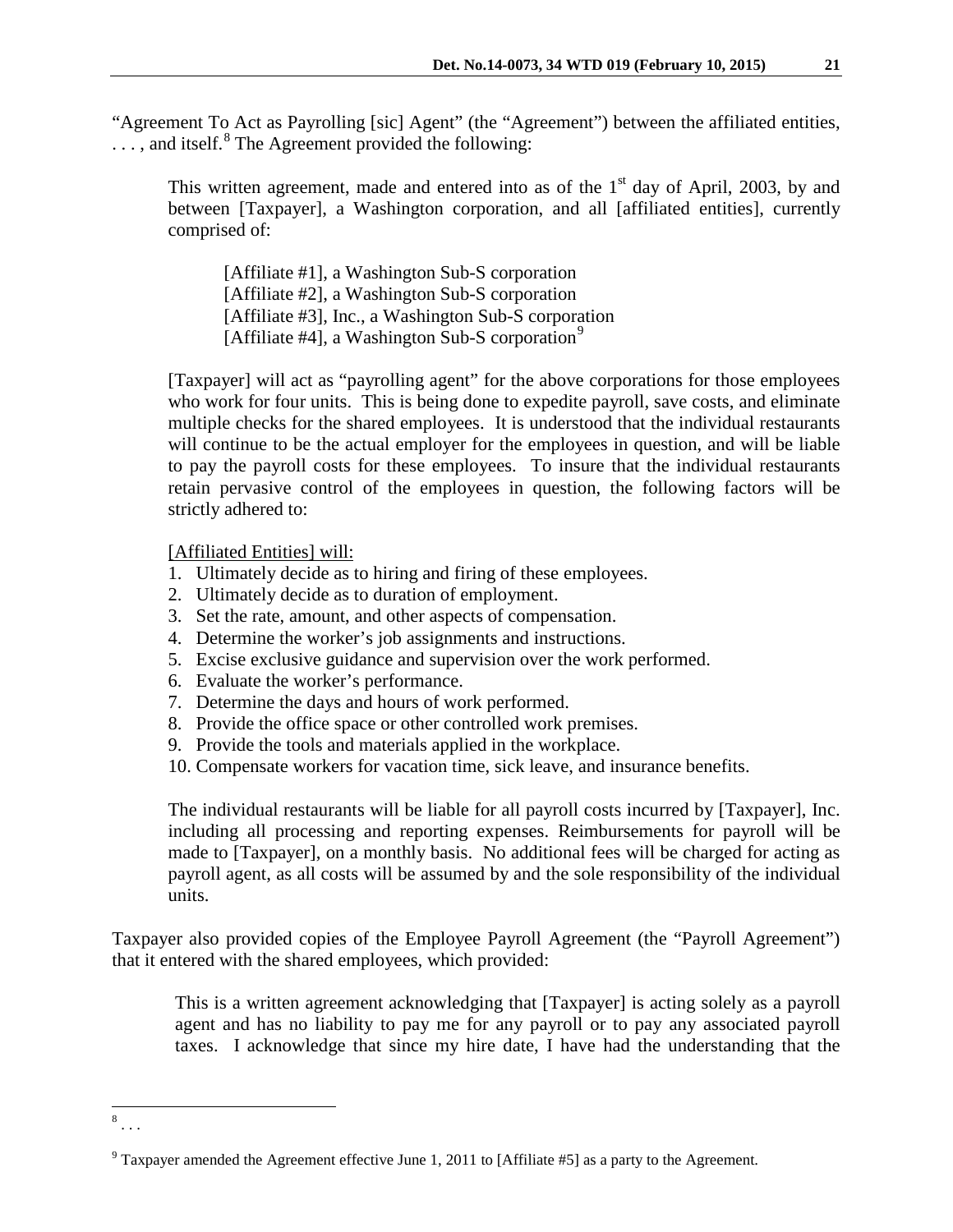"Agreement To Act as Payrolling [sic] Agent" (the "Agreement") between the affiliated entities,  $\ldots$ , and itself.<sup>[8](#page-2-0)</sup> The Agreement provided the following:

This written agreement, made and entered into as of the  $1<sup>st</sup>$  day of April, 2003, by and between [Taxpayer], a Washington corporation, and all [affiliated entities], currently comprised of:

[Affiliate #1], a Washington Sub-S corporation [Affiliate #2], a Washington Sub-S corporation [Affiliate #3], Inc., a Washington Sub-S corporation [Affiliate #4], a Washington Sub-S corporation<sup>[9](#page-2-1)</sup>

[Taxpayer] will act as "payrolling agent" for the above corporations for those employees who work for four units. This is being done to expedite payroll, save costs, and eliminate multiple checks for the shared employees. It is understood that the individual restaurants will continue to be the actual employer for the employees in question, and will be liable to pay the payroll costs for these employees. To insure that the individual restaurants retain pervasive control of the employees in question, the following factors will be strictly adhered to:

[Affiliated Entities] will:

- 1. Ultimately decide as to hiring and firing of these employees.
- 2. Ultimately decide as to duration of employment.
- 3. Set the rate, amount, and other aspects of compensation.
- 4. Determine the worker's job assignments and instructions.
- 5. Excise exclusive guidance and supervision over the work performed.
- 6. Evaluate the worker's performance.
- 7. Determine the days and hours of work performed.
- 8. Provide the office space or other controlled work premises.
- 9. Provide the tools and materials applied in the workplace.
- 10. Compensate workers for vacation time, sick leave, and insurance benefits.

The individual restaurants will be liable for all payroll costs incurred by [Taxpayer], Inc. including all processing and reporting expenses. Reimbursements for payroll will be made to [Taxpayer], on a monthly basis. No additional fees will be charged for acting as payroll agent, as all costs will be assumed by and the sole responsibility of the individual units.

Taxpayer also provided copies of the Employee Payroll Agreement (the "Payroll Agreement") that it entered with the shared employees, which provided:

This is a written agreement acknowledging that [Taxpayer] is acting solely as a payroll agent and has no liability to pay me for any payroll or to pay any associated payroll taxes. I acknowledge that since my hire date, I have had the understanding that the

<span id="page-2-0"></span> $\begin{array}{c} 8 \\ . . . \end{array}$  $\overline{a}$ 

<span id="page-2-1"></span> $9$  Taxpayer amended the Agreement effective June 1, 2011 to [Affiliate #5] as a party to the Agreement.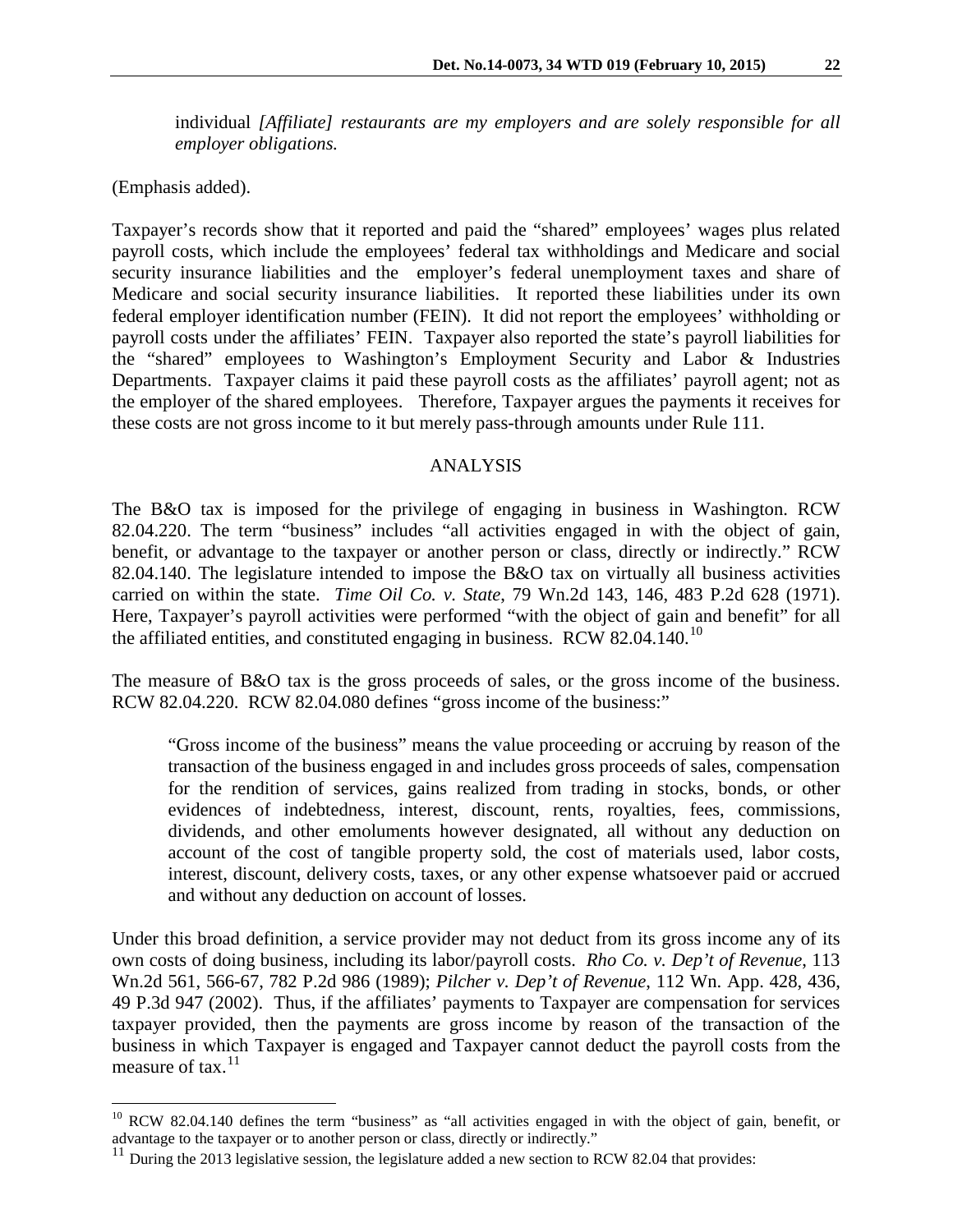individual *[Affiliate] restaurants are my employers and are solely responsible for all employer obligations.*

(Emphasis added).

Taxpayer's records show that it reported and paid the "shared" employees' wages plus related payroll costs, which include the employees' federal tax withholdings and Medicare and social security insurance liabilities and the employer's federal unemployment taxes and share of Medicare and social security insurance liabilities. It reported these liabilities under its own federal employer identification number (FEIN). It did not report the employees' withholding or payroll costs under the affiliates' FEIN. Taxpayer also reported the state's payroll liabilities for the "shared" employees to Washington's Employment Security and Labor & Industries Departments. Taxpayer claims it paid these payroll costs as the affiliates' payroll agent; not as the employer of the shared employees. Therefore, Taxpayer argues the payments it receives for these costs are not gross income to it but merely pass-through amounts under Rule 111.

## ANALYSIS

The B&O tax is imposed for the privilege of engaging in business in Washington. RCW 82.04.220. The term "business" includes "all activities engaged in with the object of gain, benefit, or advantage to the taxpayer or another person or class, directly or indirectly." RCW 82.04.140. The legislature intended to impose the B&O tax on virtually all business activities carried on within the state. *Time Oil Co. v. State*, 79 Wn.2d 143, 146, 483 P.2d 628 (1971). Here, Taxpayer's payroll activities were performed "with the object of gain and benefit" for all the affiliated entities, and constituted engaging in business. RCW 82.04.140.<sup>[10](#page-3-0)</sup>

The measure of B&O tax is the gross proceeds of sales, or the gross income of the business. RCW 82.04.220. RCW 82.04.080 defines "gross income of the business:"

"Gross income of the business" means the value proceeding or accruing by reason of the transaction of the business engaged in and includes gross proceeds of sales, compensation for the rendition of services, gains realized from trading in stocks, bonds, or other evidences of indebtedness, interest, discount, rents, royalties, fees, commissions, dividends, and other emoluments however designated, all without any deduction on account of the cost of tangible property sold, the cost of materials used, labor costs, interest, discount, delivery costs, taxes, or any other expense whatsoever paid or accrued and without any deduction on account of losses.

Under this broad definition, a service provider may not deduct from its gross income any of its own costs of doing business, including its labor/payroll costs. *Rho Co. v. Dep't of Revenue*, 113 Wn.2d 561, 566-67, 782 P.2d 986 (1989); *Pilcher v. Dep't of Revenue*, 112 Wn. App. 428, 436, 49 P.3d 947 (2002). Thus, if the affiliates' payments to Taxpayer are compensation for services taxpayer provided, then the payments are gross income by reason of the transaction of the business in which Taxpayer is engaged and Taxpayer cannot deduct the payroll costs from the measure of tax. $^{11}$  $^{11}$  $^{11}$ 

<span id="page-3-0"></span> $10$  RCW 82.04.140 defines the term "business" as "all activities engaged in with the object of gain, benefit, or advantage to the taxpayer or to another person or class, directly or indirectly."  $\overline{a}$ 

<span id="page-3-1"></span><sup>&</sup>lt;sup>11</sup> During the 2013 legislative session, the legislature added a new section to RCW 82.04 that provides: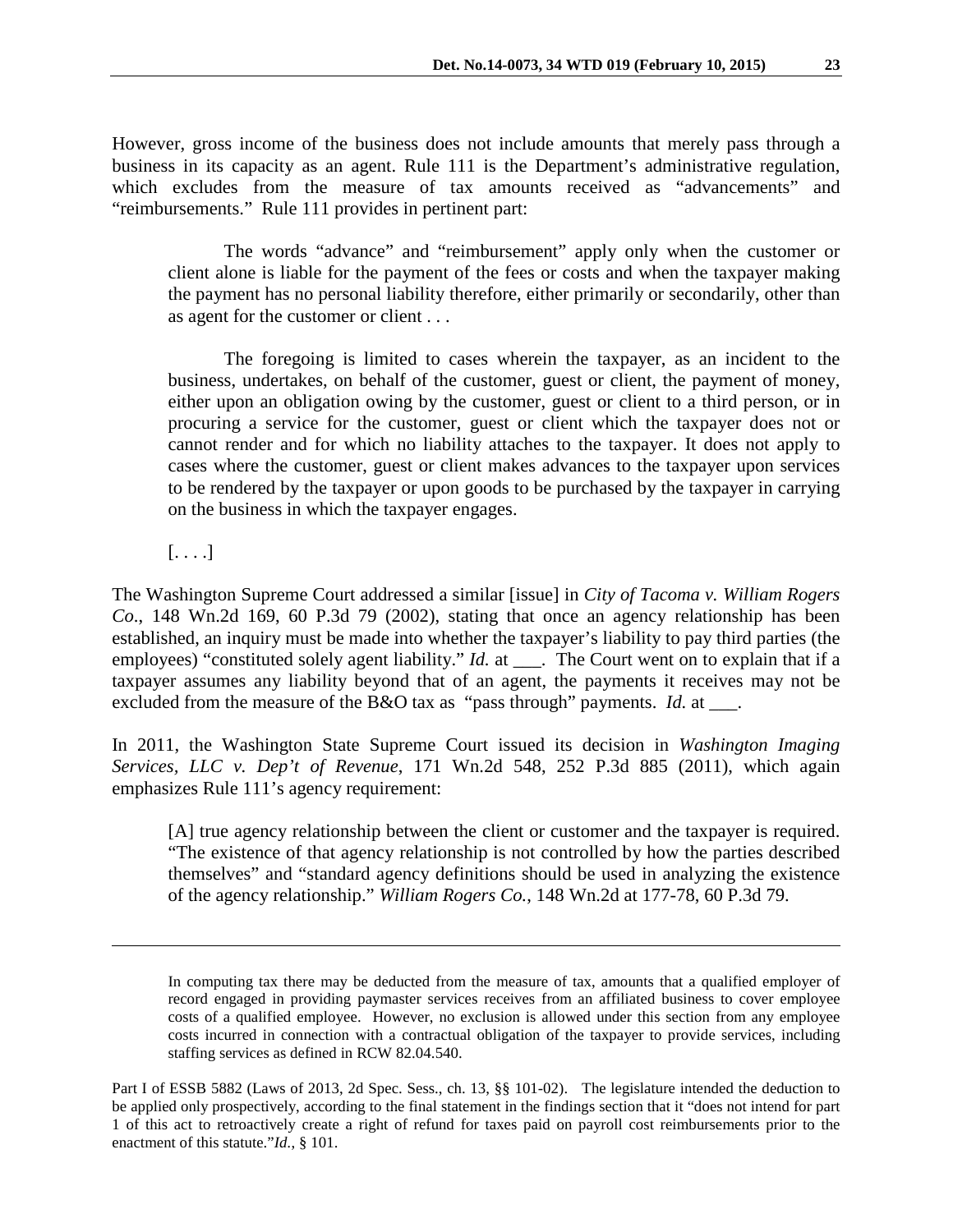However, gross income of the business does not include amounts that merely pass through a business in its capacity as an agent. Rule 111 is the Department's administrative regulation, which excludes from the measure of tax amounts received as "advancements" and "reimbursements." Rule 111 provides in pertinent part:

The words "advance" and "reimbursement" apply only when the customer or client alone is liable for the payment of the fees or costs and when the taxpayer making the payment has no personal liability therefore, either primarily or secondarily, other than as agent for the customer or client . . .

The foregoing is limited to cases wherein the taxpayer, as an incident to the business, undertakes, on behalf of the customer, guest or client, the payment of money, either upon an obligation owing by the customer, guest or client to a third person, or in procuring a service for the customer, guest or client which the taxpayer does not or cannot render and for which no liability attaches to the taxpayer. It does not apply to cases where the customer, guest or client makes advances to the taxpayer upon services to be rendered by the taxpayer or upon goods to be purchased by the taxpayer in carrying on the business in which the taxpayer engages.

 $[\ldots]$ 

 $\overline{a}$ 

The Washington Supreme Court addressed a similar [issue] in *City of Tacoma v. William Rogers Co*., 148 Wn.2d 169, 60 P.3d 79 (2002), stating that once an agency relationship has been established, an inquiry must be made into whether the taxpayer's liability to pay third parties (the employees) "constituted solely agent liability." *Id.* at \_\_\_. The Court went on to explain that if a taxpayer assumes any liability beyond that of an agent, the payments it receives may not be excluded from the measure of the B&O tax as "pass through" payments. *Id.* at \_\_\_.

In 2011, the Washington State Supreme Court issued its decision in *Washington Imaging Services, LLC v. Dep't of Revenue*, 171 Wn.2d 548, 252 P.3d 885 (2011), which again emphasizes Rule 111's agency requirement:

[A] true agency relationship between the client or customer and the taxpayer is required. "The existence of that agency relationship is not controlled by how the parties described themselves" and "standard agency definitions should be used in analyzing the existence of the agency relationship." *William Rogers Co.*, 148 Wn.2d at 177-78, 60 P.3d 79.

In computing tax there may be deducted from the measure of tax, amounts that a qualified employer of record engaged in providing paymaster services receives from an affiliated business to cover employee costs of a qualified employee. However, no exclusion is allowed under this section from any employee costs incurred in connection with a contractual obligation of the taxpayer to provide services, including staffing services as defined in RCW 82.04.540.

Part I of ESSB 5882 (Laws of 2013, 2d Spec. Sess., ch. 13, §§ 101-02). The legislature intended the deduction to be applied only prospectively, according to the final statement in the findings section that it "does not intend for part 1 of this act to retroactively create a right of refund for taxes paid on payroll cost reimbursements prior to the enactment of this statute."*Id.*, § 101.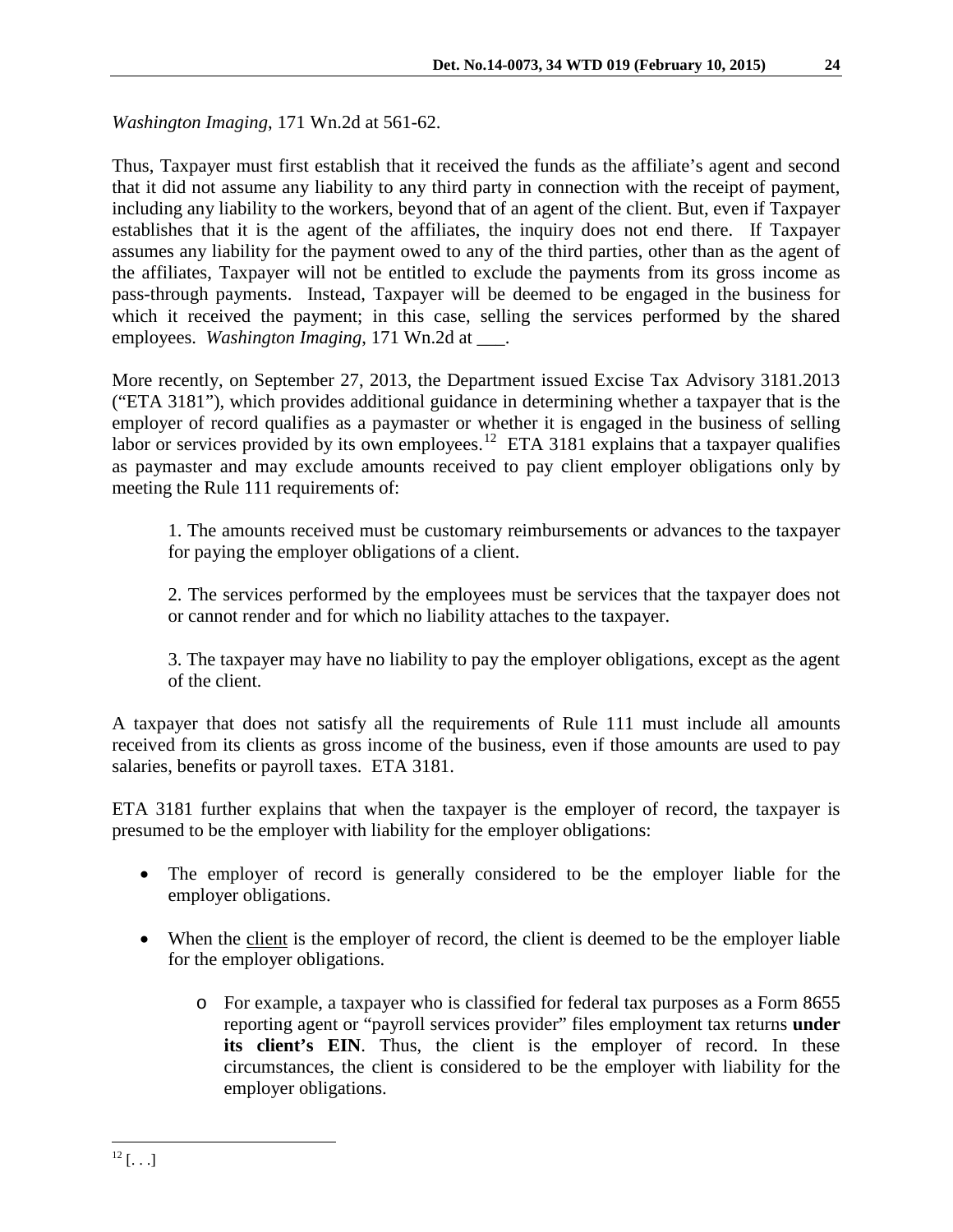*Washington Imaging*, 171 Wn.2d at 561-62.

Thus, Taxpayer must first establish that it received the funds as the affiliate's agent and second that it did not assume any liability to any third party in connection with the receipt of payment, including any liability to the workers, beyond that of an agent of the client. But, even if Taxpayer establishes that it is the agent of the affiliates, the inquiry does not end there. If Taxpayer assumes any liability for the payment owed to any of the third parties, other than as the agent of the affiliates, Taxpayer will not be entitled to exclude the payments from its gross income as pass-through payments. Instead, Taxpayer will be deemed to be engaged in the business for which it received the payment; in this case, selling the services performed by the shared employees. *Washington Imaging*, 171 Wn.2d at \_\_\_.

More recently, on September 27, 2013, the Department issued Excise Tax Advisory 3181.2013 ("ETA 3181"), which provides additional guidance in determining whether a taxpayer that is the employer of record qualifies as a paymaster or whether it is engaged in the business of selling labor or services provided by its own employees.<sup>[12](#page-5-0)</sup> ETA 3181 explains that a taxpayer qualifies as paymaster and may exclude amounts received to pay client employer obligations only by meeting the Rule 111 requirements of:

1. The amounts received must be customary reimbursements or advances to the taxpayer for paying the employer obligations of a client.

2. The services performed by the employees must be services that the taxpayer does not or cannot render and for which no liability attaches to the taxpayer.

3. The taxpayer may have no liability to pay the employer obligations, except as the agent of the client.

A taxpayer that does not satisfy all the requirements of Rule 111 must include all amounts received from its clients as gross income of the business, even if those amounts are used to pay salaries, benefits or payroll taxes. ETA 3181.

ETA 3181 further explains that when the taxpayer is the employer of record, the taxpayer is presumed to be the employer with liability for the employer obligations:

- The employer of record is generally considered to be the employer liable for the employer obligations.
- <span id="page-5-0"></span>• When the client is the employer of record, the client is deemed to be the employer liable for the employer obligations.
	- o For example, a taxpayer who is classified for federal tax purposes as a Form 8655 reporting agent or "payroll services provider" files employment tax returns **under**  its client's EIN. Thus, the client is the employer of record. In these circumstances, the client is considered to be the employer with liability for the employer obligations.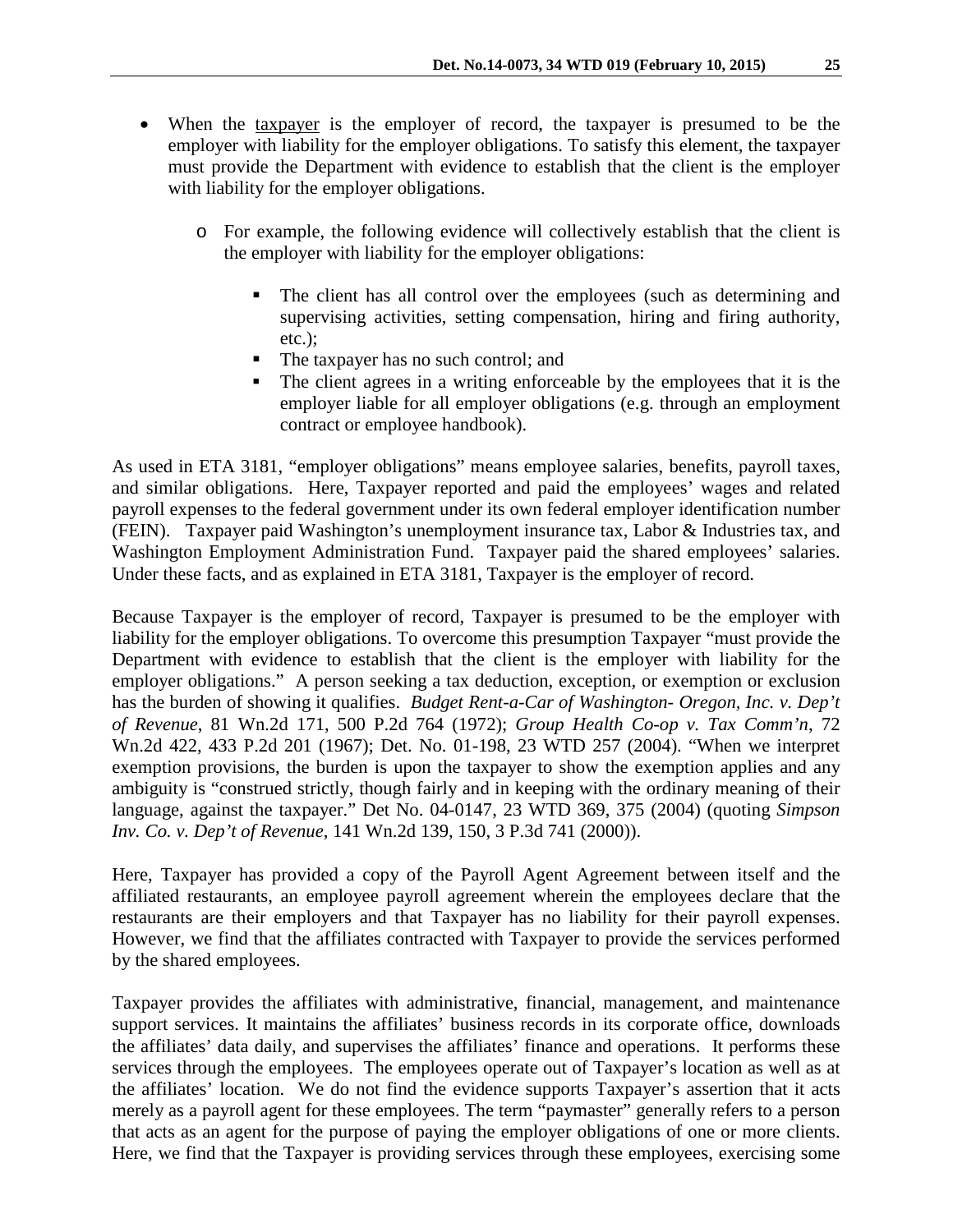- When the taxpayer is the employer of record, the taxpayer is presumed to be the employer with liability for the employer obligations. To satisfy this element, the taxpayer must provide the Department with evidence to establish that the client is the employer with liability for the employer obligations.
	- o For example, the following evidence will collectively establish that the client is the employer with liability for the employer obligations:
		- The client has all control over the employees (such as determining and supervising activities, setting compensation, hiring and firing authority, etc.);
		- The taxpayer has no such control; and
		- The client agrees in a writing enforceable by the employees that it is the employer liable for all employer obligations (e.g. through an employment contract or employee handbook).

As used in ETA 3181, "employer obligations" means employee salaries, benefits, payroll taxes, and similar obligations. Here, Taxpayer reported and paid the employees' wages and related payroll expenses to the federal government under its own federal employer identification number (FEIN). Taxpayer paid Washington's unemployment insurance tax, Labor & Industries tax, and Washington Employment Administration Fund. Taxpayer paid the shared employees' salaries. Under these facts, and as explained in ETA 3181, Taxpayer is the employer of record.

Because Taxpayer is the employer of record, Taxpayer is presumed to be the employer with liability for the employer obligations. To overcome this presumption Taxpayer "must provide the Department with evidence to establish that the client is the employer with liability for the employer obligations." A person seeking a tax deduction, exception, or exemption or exclusion has the burden of showing it qualifies. *Budget Rent-a-Car of Washington- Oregon, Inc. v. Dep't of Revenue*, 81 Wn.2d 171, 500 P.2d 764 (1972); *Group Health Co-op v. Tax Comm'n*, 72 Wn.2d 422, 433 P.2d 201 (1967); Det. No. 01-198, 23 WTD 257 (2004). "When we interpret exemption provisions, the burden is upon the taxpayer to show the exemption applies and any ambiguity is "construed strictly, though fairly and in keeping with the ordinary meaning of their language, against the taxpayer." Det No. 04-0147, 23 WTD 369, 375 (2004) (quoting *Simpson Inv. Co. v. Dep't of Revenue*, 141 Wn.2d 139, 150, 3 P.3d 741 (2000)).

Here, Taxpayer has provided a copy of the Payroll Agent Agreement between itself and the affiliated restaurants, an employee payroll agreement wherein the employees declare that the restaurants are their employers and that Taxpayer has no liability for their payroll expenses. However, we find that the affiliates contracted with Taxpayer to provide the services performed by the shared employees.

Taxpayer provides the affiliates with administrative, financial, management, and maintenance support services. It maintains the affiliates' business records in its corporate office, downloads the affiliates' data daily, and supervises the affiliates' finance and operations. It performs these services through the employees. The employees operate out of Taxpayer's location as well as at the affiliates' location. We do not find the evidence supports Taxpayer's assertion that it acts merely as a payroll agent for these employees. The term "paymaster" generally refers to a person that acts as an agent for the purpose of paying the employer obligations of one or more clients. Here, we find that the Taxpayer is providing services through these employees, exercising some